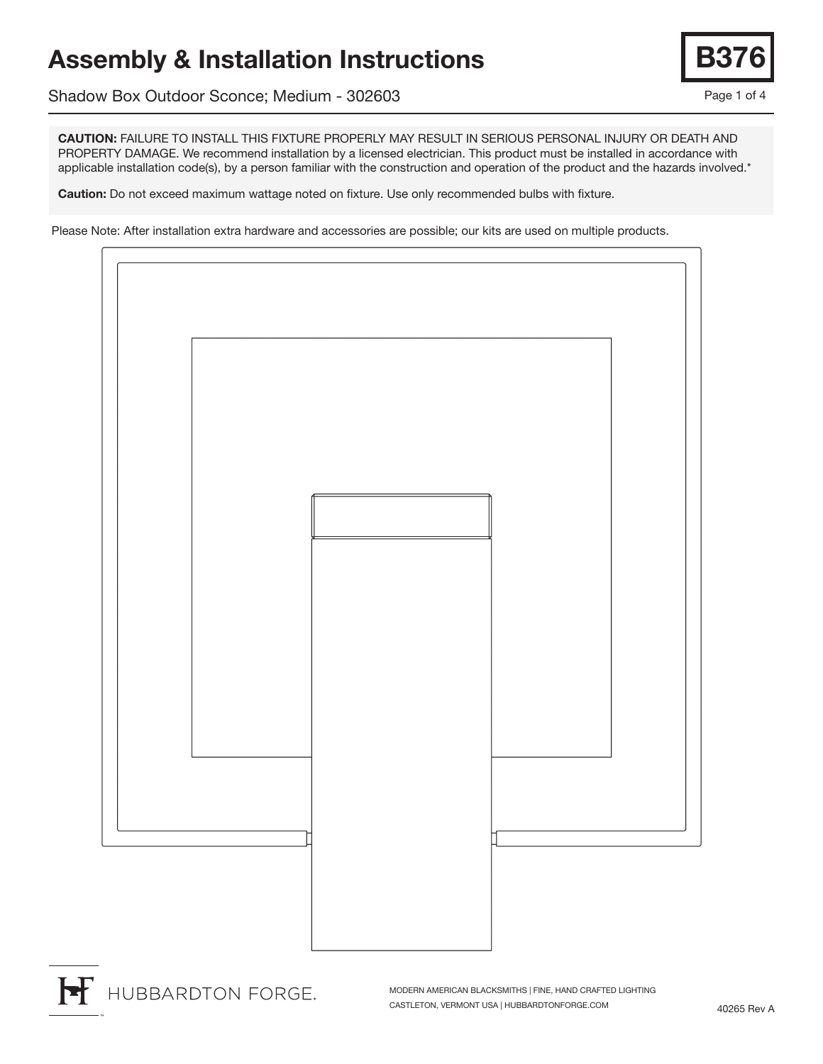## Assembly & Installation Instructions

Shadow Box Outdoor Sconce; Medium - 302603

CAUTION: FAILURE TO INSTALL THIS FIXTURE PROPERLY MAY RESULT IN SERIOUS PERSONAL INJURY OR DEATH AND PROPERTY DAMAGE. We recommend installation by a licensed electrician. This product must be installed in accordance with applicable installation code(s), by a person familiar with the construction and operation of the product and the hazards involved.\*

Caution: Do not exceed maximum wattage noted on fixture. Use only recommended bulbs with fixture.

Please Note: After installation extra hardware and accessories are possible; our kits are used on multiple products.



MODERN AMERICAN BLACKSMITHS | FINE, HAND CRAFTED LIGHTING CASTLETON, VERMONT USA | HUBBARDTONFORGE.COM

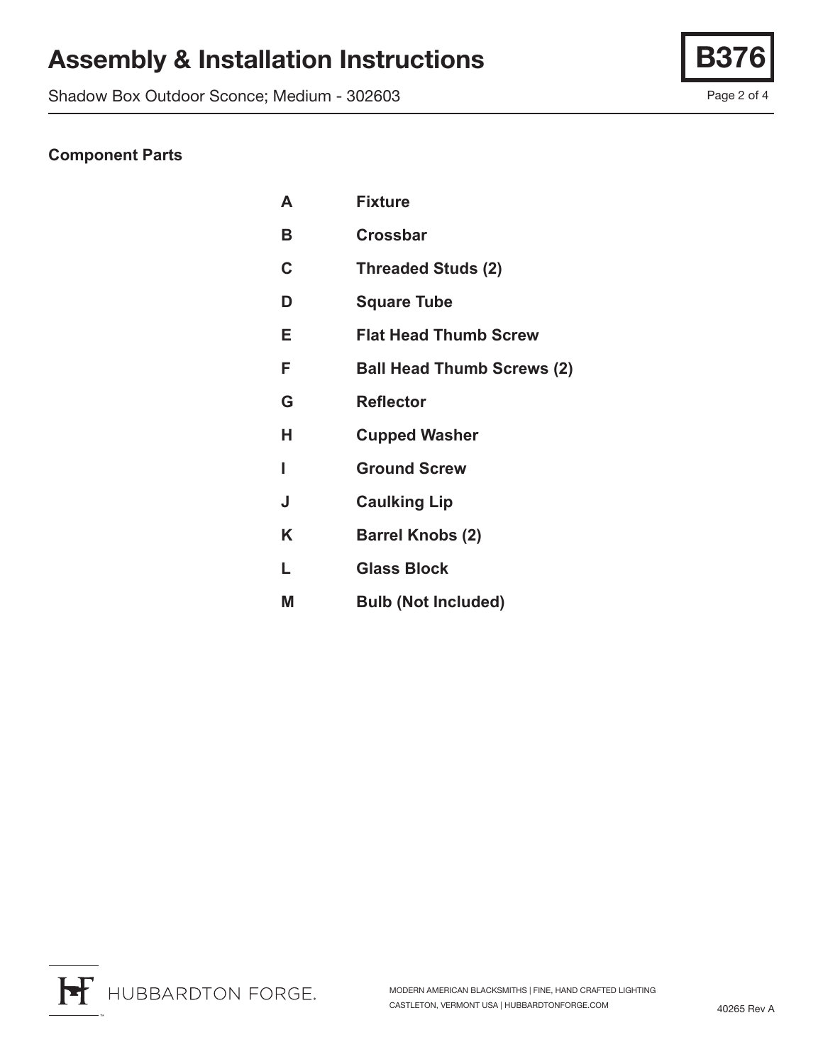# Assembly & Installation Instructions | B

Shadow Box Outdoor Sconce; Medium - 302603

#### **Component Parts**

| A | <b>Fixture</b>                    |
|---|-----------------------------------|
| B | <b>Crossbar</b>                   |
| C | <b>Threaded Studs (2)</b>         |
| D | <b>Square Tube</b>                |
| Е | <b>Flat Head Thumb Screw</b>      |
| F | <b>Ball Head Thumb Screws (2)</b> |
| G | <b>Reflector</b>                  |
| н | <b>Cupped Washer</b>              |
| ı | <b>Ground Screw</b>               |
| J | <b>Caulking Lip</b>               |
| K | <b>Barrel Knobs (2)</b>           |
| L | <b>Glass Block</b>                |
| M | <b>Bulb (Not Included)</b>        |

H HUBBARDTON FORGE.

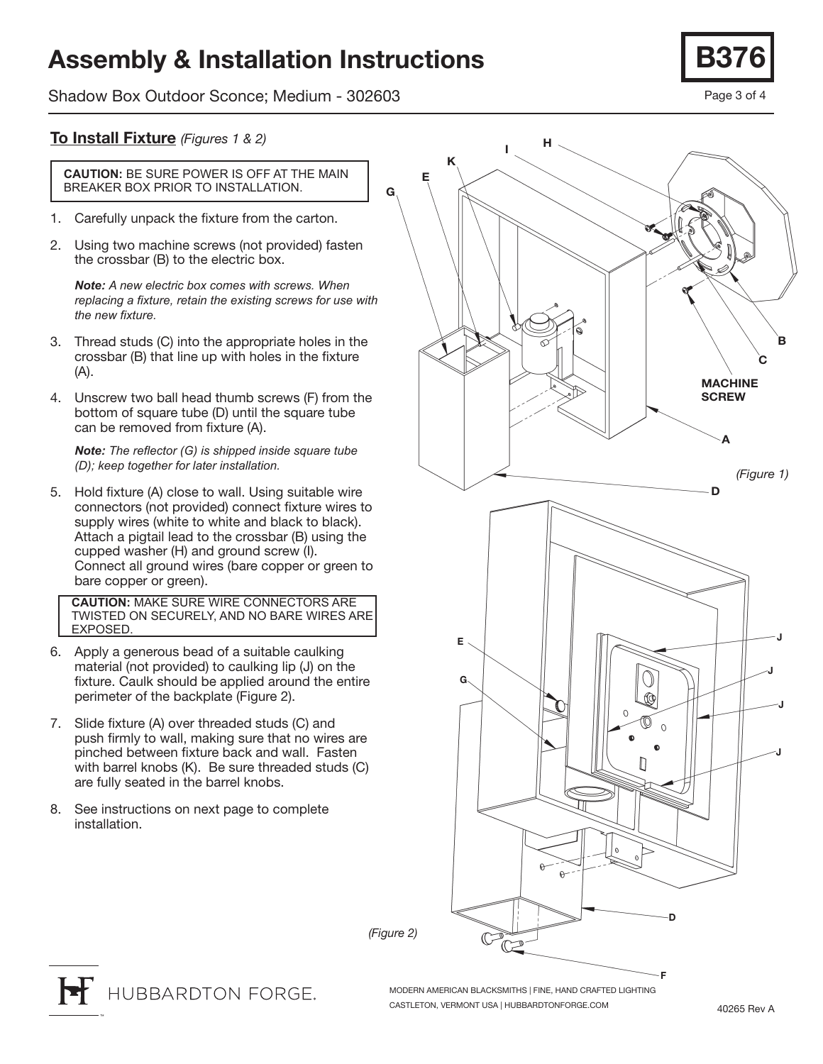### Assembly & Installation Instructions

Shadow Box Outdoor Sconce; Medium - 302603



#### To Install Fixture *(Figures 1 & 2)*

**CAUTION:** BE SURE POWER IS OFF AT THE MAIN BREAKER BOX PRIOR TO INSTALLATION.

- 1. Carefully unpack the fixture from the carton.
- 2. Using two machine screws (not provided) fasten the crossbar (B) to the electric box.

*Note: A new electric box comes with screws. When replacing a fixture, retain the existing screws for use with the new fixture.*

- 3. Thread studs (C) into the appropriate holes in the crossbar (B) that line up with holes in the fixture (A).
- 4. Unscrew two ball head thumb screws (F) from the bottom of square tube (D) until the square tube can be removed from fixture (A).

*Note: The reflector (G) is shipped inside square tube (D); keep together for later installation.*

5. Hold fixture (A) close to wall. Using suitable wire connectors (not provided) connect fixture wires to supply wires (white to white and black to black). Attach a pigtail lead to the crossbar (B) using the cupped washer (H) and ground screw (I). Connect all ground wires (bare copper or green to bare copper or green).

**CAUTION:** MAKE SURE WIRE CONNECTORS ARE TWISTED ON SECURELY, AND NO BARE WIRES ARE EXPOSED.

- 6. Apply a generous bead of a suitable caulking material (not provided) to caulking lip (J) on the fixture. Caulk should be applied around the entire perimeter of the backplate (Figure 2).
- 7. Slide fixture (A) over threaded studs (C) and push firmly to wall, making sure that no wires are pinched between fixture back and wall. Fasten with barrel knobs (K). Be sure threaded studs (C) are fully seated in the barrel knobs.
- 8. See instructions on next page to complete installation.



*(Figure 2)*

G

HUBBARDTON FORGE.

MODERN AMERICAN BLACKSMITHS | FINE, HAND CRAFTED LIGHTING CASTLETON, VERMONT USA | HUBBARDTONFORGE.COM